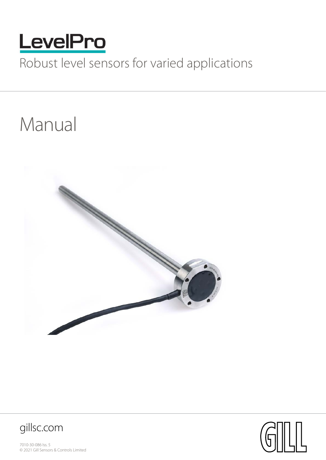

# Robust level sensors for varied applications

# Manual





7010-30-086 Iss. 5 © 2021 Gill Sensors & Controls Limited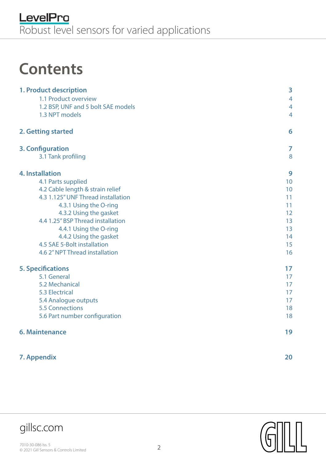# **Contents**

| 1. Product description<br>1.1 Product overview<br>1.2 BSP, UNF and 5 bolt SAE models<br>1.3 NPT models | 3<br>$\overline{4}$<br>$\overline{4}$<br>$\overline{4}$ |
|--------------------------------------------------------------------------------------------------------|---------------------------------------------------------|
| 2. Getting started                                                                                     | 6                                                       |
| 3. Configuration                                                                                       | 7                                                       |
| 3.1 Tank profiling                                                                                     | 8                                                       |
| <b>4. Installation</b>                                                                                 | 9                                                       |
| 4.1 Parts supplied                                                                                     | 10                                                      |
| 4.2 Cable length & strain relief                                                                       | 10                                                      |
| 4.3 1.125" UNF Thread installation                                                                     | 11                                                      |
| 4.3.1 Using the O-ring                                                                                 | 11                                                      |
| 4.3.2 Using the gasket                                                                                 | 12                                                      |
| 4.4 1.25" BSP Thread installation                                                                      | 13                                                      |
| 4.4.1 Using the O-ring                                                                                 | 13                                                      |
| 4.4.2 Using the gasket                                                                                 | 14                                                      |
| 4.5 SAE 5-Bolt installation                                                                            | 15                                                      |
| 4.6 2" NPT Thread installation                                                                         | 16                                                      |
| <b>5. Specifications</b>                                                                               | 17                                                      |
| 5.1 General                                                                                            | 17                                                      |
| 5.2 Mechanical                                                                                         | 17                                                      |
| <b>5.3 Electrical</b>                                                                                  | 17                                                      |
| 5.4 Analogue outputs                                                                                   | 17                                                      |
| <b>5.5 Connections</b>                                                                                 | 18                                                      |
| 5.6 Part number configuration                                                                          | 18                                                      |
| <b>6. Maintenance</b>                                                                                  | 19                                                      |
| 7. Appendix                                                                                            | 20                                                      |





gillsc.com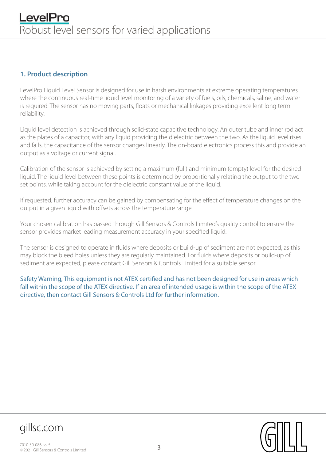#### **1. Product description**

LevelPro Liquid Level Sensor is designed for use in harsh environments at extreme operating temperatures where the continuous real-time liquid level monitoring of a variety of fuels, oils, chemicals, saline, and water is required. The sensor has no moving parts, floats or mechanical linkages providing excellent long term reliability.

Liquid level detection is achieved through solid-state capacitive technology. An outer tube and inner rod act as the plates of a capacitor, with any liquid providing the dielectric between the two. As the liquid level rises and falls, the capacitance of the sensor changes linearly. The on-board electronics process this and provide an output as a voltage or current signal.

Calibration of the sensor is achieved by setting a maximum (full) and minimum (empty) level for the desired liquid. The liquid level between these points is determined by proportionally relating the output to the two set points, while taking account for the dielectric constant value of the liquid.

If requested, further accuracy can be gained by compensating for the effect of temperature changes on the output in a given liquid with offsets across the temperature range.

Your chosen calibration has passed through Gill Sensors & Controls Limited's quality control to ensure the sensor provides market leading measurement accuracy in your specified liquid.

The sensor is designed to operate in fluids where deposits or build-up of sediment are not expected, as this may block the bleed holes unless they are regularly maintained. For fluids where deposits or build-up of sediment are expected, please contact Gill Sensors & Controls Limited for a suitable sensor.

Safety Warning, This equipment is not ATEX certified and has not been designed for use in areas which fall within the scope of the ATEX directive. If an area of intended usage is within the scope of the ATEX directive, then contact Gill Sensors & Controls Ltd for further information.

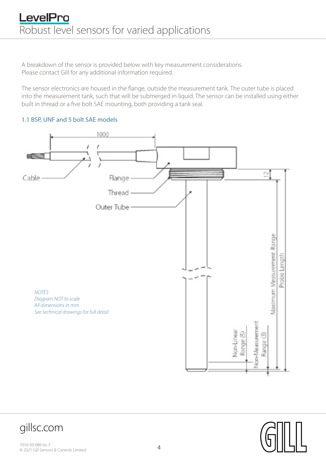A breakdown of the sensor is provided below with key measurement considerations. Please contact Gill for any additional information required.

The sensor electronics are housed in the flange, outside the measurement tank. The outer tube is placed into the measurement tank, such that will be submerged in liquid. The sensor can be installed using either built in thread or a five bolt SAE mounting, both providing a tank seal.

#### 1.1 BSP, UNF and 5 bolt SAE models



gillsc.com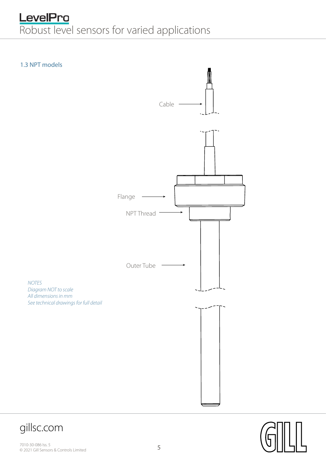# **LevelPro**<br>Robust level sensors for varied applications









 $0.35577(6.83)$ 

 $\frac{1}{\sqrt{2}}$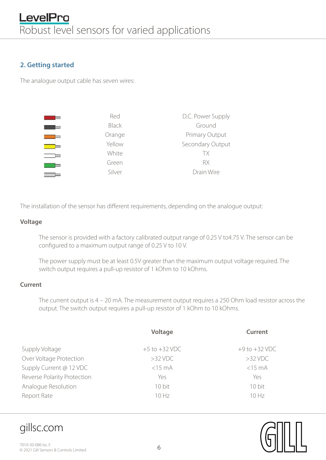#### **2. Getting started**

The analogue output cable has seven wires:

| Red          | D.C. Power Supply |
|--------------|-------------------|
| <b>Black</b> | Ground            |
| Orange       | Primary Output    |
| Yellow       | Secondary Output  |
| White        | <b>TX</b>         |
| Green        | RX                |
| Silver       | Drain Wire        |

The installation of the sensor has different requirements, depending on the analogue output:

#### **Voltage**

The sensor is provided with a factory calibrated output range of 0.25 V to4.75 V. The sensor can be configured to a maximum output range of 0.25 V to 10 V.

The power supply must be at least 0.5V greater than the maximum output voltage required. The switch output requires a pull-up resistor of 1 kOhm to 10 kOhms.

#### **Current**

The current output is 4 – 20 mA. The measurement output requires a 250 Ohm load resistor across the output. The switch output requires a pull-up resistor of 1 kOhm to 10 kOhms.

|                             | Voltage           | <b>Current</b>    |
|-----------------------------|-------------------|-------------------|
| Supply Voltage              | $+5$ to $+32$ VDC | $+9$ to $+32$ VDC |
| Over Voltage Protection     | $>32$ VDC         | $>32$ VDC         |
| Supply Current @ 12 VDC     | $<$ 15 $mA$       | $<$ 15 $mA$       |
| Reverse Polarity Protection | Yes               | Yes               |
| Analogue Resolution         | 10 bit            | 10 bit            |
| Report Rate                 | 10 Hz             | 10Hz              |

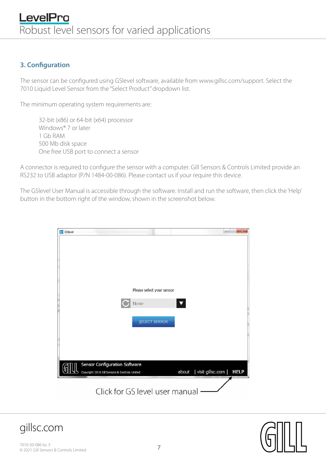#### **3. Configuration**

The sensor can be configured using GSlevel software, available from [www.gillsc.com/support.](http://www.gillsc.com/support.) Select the 7010 Liquid Level Sensor from the "Select Product" dropdown list.

The minimum operating system requirements are:

32-bit (x86) or 64-bit (x64) processor Windows® 7 or later 1 Gb RAM 500 Mb disk space One free USB port to connect a sensor

A connector is required to configure the sensor with a computer. Gill Sensors & Controls Limited provide an RS232 to USB adaptor (P/N 1484-00-086). Please contact us if your require this device.

The GSlevel User Manual is accessible through the software. Install and run the software, then click the 'Help' button in the bottom right of the window, shown in the screenshot below.



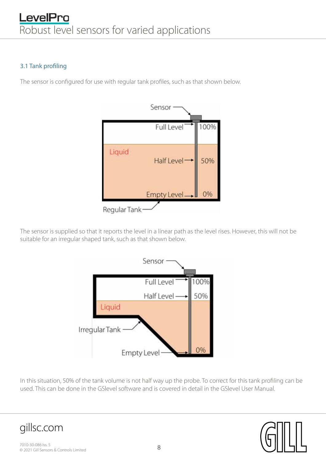#### 3.1 Tank profiling

The sensor is configured for use with regular tank profiles, such as that shown below.



The sensor is supplied so that it reports the level in a linear path as the level rises. However, this will not be suitable for an irregular shaped tank, such as that shown below.



In this situation, 50% of the tank volume is not half way up the probe. To correct for this tank profiling can be used. This can be done in the GSlevel software and is covered in detail in the GSlevel User Manual.

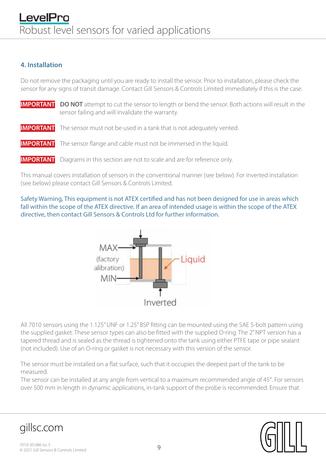#### **4. Installation**

Do not remove the packaging until you are ready to install the sensor. Prior to installation, please check the sensor for any signs of transit damage. Contact Gill Sensors & Controls Limited immediately if this is the case.

- **IMPORTANT DO NOT** attempt to cut the sensor to length or bend the sensor. Both actions will result in the sensor failing and will invalidate the warranty.
- **IMPORTANT** The sensor must not be used in a tank that is not adequately vented.
- **IMPORTANT** The sensor flange and cable must not be immersed in the liquid.
- **IMPORTANT** Diagrams in this section are not to scale and are for reference only.

This manual covers installation of sensors in the conventional manner (see below). For inverted installation (see below) please contact Gill Sensors & Controls Limited.

Safety Warning, This equipment is not ATEX certified and has not been designed for use in areas which fall within the scope of the ATEX directive. If an area of intended usage is within the scope of the ATEX directive, then contact Gill Sensors & Controls Ltd for further information.



All 7010 sensors using the 1.125" UNF or 1.25" BSP fitting can be mounted using the SAE 5-bolt pattern using the supplied gasket. These sensor types can also be fitted with the supplied O-ring. The 2" NPT version has a tapered thread and is sealed as the thread is tightened onto the tank using either PTFE tape or pipe sealant (not included). Use of an O-ring or gasket is not necessary with this version of the sensor.

The sensor must be installed on a flat surface, such that it occupies the deepest part of the tank to be measured.

The sensor can be installed at any angle from vertical to a maximum recommended angle of 45°. For sensors over 500 mm in length in dynamic applications, in-tank support of the probe is recommended. Ensure that



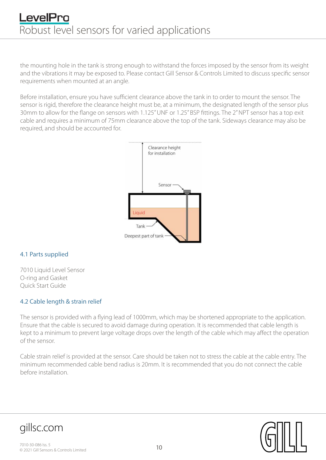## LevelPro Robust level sensors for varied applications

the mounting hole in the tank is strong enough to withstand the forces imposed by the sensor from its weight and the vibrations it may be exposed to. Please contact Gill Sensor & Controls Limited to discuss specific sensor requirements when mounted at an angle.

Before installation, ensure you have sufficient clearance above the tank in to order to mount the sensor. The sensor is rigid, therefore the clearance height must be, at a minimum, the designated length of the sensor plus 30mm to allow for the flange on sensors with 1.125" UNF or 1.25" BSP fittings. The 2" NPT sensor has a top exit cable and requires a minimum of 75mm clearance above the top of the tank. Sideways clearance may also be required, and should be accounted for.



#### 4.1 Parts supplied

7010 Liquid Level Sensor O-ring and Gasket Quick Start Guide

#### 4.2 Cable length & strain relief

The sensor is provided with a flying lead of 1000mm, which may be shortened appropriate to the application. Ensure that the cable is secured to avoid damage during operation. It is recommended that cable length is kept to a minimum to prevent large voltage drops over the length of the cable which may affect the operation of the sensor.

Cable strain relief is provided at the sensor. Care should be taken not to stress the cable at the cable entry. The minimum recommended cable bend radius is 20mm. It is recommended that you do not connect the cable before installation.

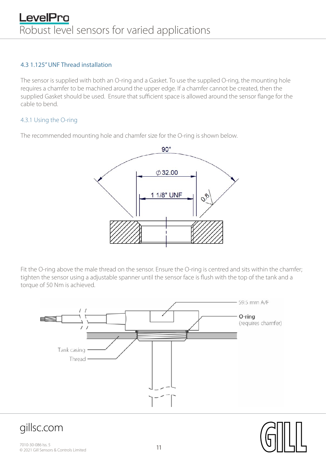#### 4.3 1.125" UNF Thread installation

The sensor is supplied with both an O-ring and a Gasket. To use the supplied O-ring, the mounting hole requires a chamfer to be machined around the upper edge. If a chamfer cannot be created, then the supplied Gasket should be used. Ensure that sufficient space is allowed around the sensor flange for the cable to bend.

#### 4.3.1 Using the O-ring

The recommended mounting hole and chamfer size for the O-ring is shown below.



Fit the O-ring above the male thread on the sensor. Ensure the O-ring is centred and sits within the chamfer; tighten the sensor using a adjustable spanner until the sensor face is flush with the top of the tank and a torque of 50 Nm is achieved.





gillsc.com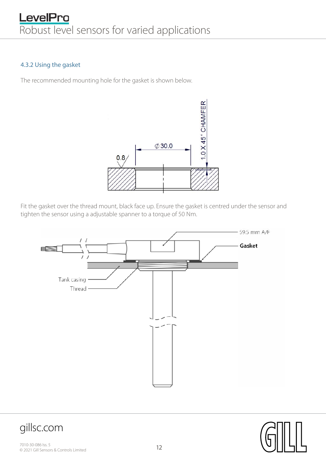#### 4.3.2 Using the gasket

The recommended mounting hole for the gasket is shown below.



Fit the gasket over the thread mount, black face up. Ensure the gasket is centred under the sensor and tighten the sensor using a adjustable spanner to a torque of 50 Nm.



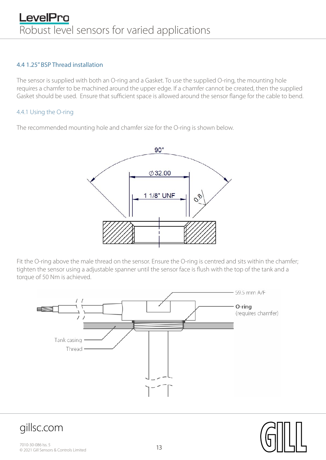#### 4.4 1.25" BSP Thread installation

The sensor is supplied with both an O-ring and a Gasket. To use the supplied O-ring, the mounting hole requires a chamfer to be machined around the upper edge. If a chamfer cannot be created, then the supplied Gasket should be used. Ensure that sufficient space is allowed around the sensor flange for the cable to bend.

#### 4.4.1 Using the O-ring

The recommended mounting hole and chamfer size for the O-ring is shown below.



Fit the O-ring above the male thread on the sensor. Ensure the O-ring is centred and sits within the chamfer; tighten the sensor using a adjustable spanner until the sensor face is flush with the top of the tank and a torque of 50 Nm is achieved.



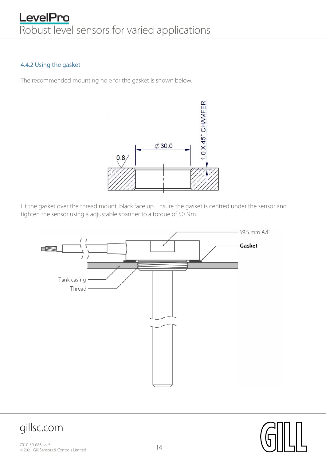#### 4.4.2 Using the gasket

The recommended mounting hole for the gasket is shown below.



Fit the gasket over the thread mount, black face up. Ensure the gasket is centred under the sensor and tighten the sensor using a adjustable spanner to a torque of 50 Nm.



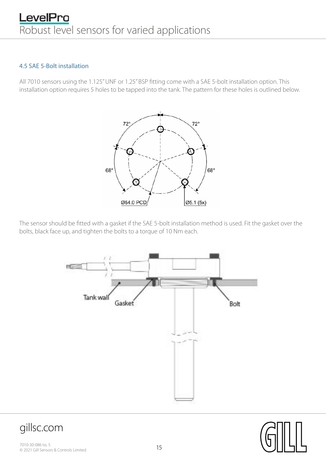## LevelPro Robust level sensors for varied applications

#### 4.5 SAE 5-Bolt installation

All 7010 sensors using the 1.125" UNF or 1.25" BSP fitting come with a SAE 5-bolt installation option. This installation option requires 5 holes to be tapped into the tank. The pattern for these holes is outlined below.



The sensor should be fitted with a gasket if the SAE 5-bolt installation method is used. Fit the gasket over the bolts, black face up, and tighten the bolts to a torque of 10 Nm each.





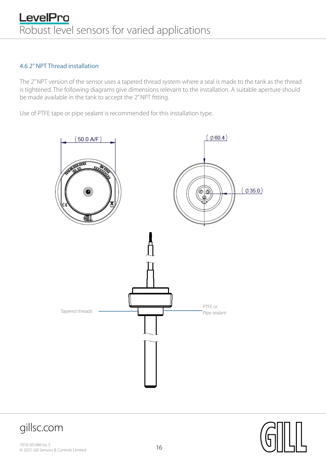#### 4.6 2" NPT Thread installation

The 2" NPT version of the sensor uses a tapered thread system where a seal is made to the tank as the thread is tightened. The following diagrams give dimensions relevant to the installation. A suitable aperture should be made available in the tank to accept the 2" NPT fitting.

Use of PTFE tape or pipe sealant is recommended for this installation type.







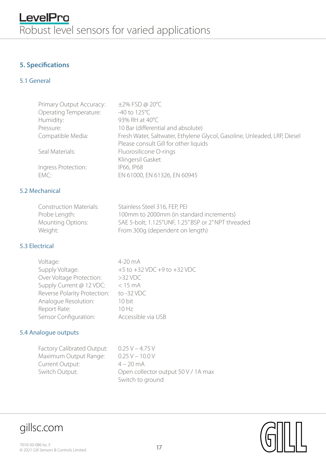#### **5. Specifications**

#### 5.1 General

| Primary Output Accuracy: | $\pm$ 2% FSD @ 20°C                                                      |
|--------------------------|--------------------------------------------------------------------------|
| Operating Temperature:   | $-40$ to $125^{\circ}$ C                                                 |
| Humidity:                | 93% RH at 40°C                                                           |
| Pressure:                | 10 Bar (differential and absolute)                                       |
| Compatible Media:        | Fresh Water, Saltwater, Ethylene Glycol, Gasoline, Unleaded, LRP, Diesel |
|                          | Please consult Gill for other liquids                                    |
| Seal Materials:          | Fluorosilicone O-rings                                                   |
|                          | Klingersil Gasket                                                        |
| Ingress Protection:      | IP66, IP68                                                               |
| EMC:                     | EN 61000, EN 61326, EN 60945                                             |
|                          |                                                                          |

#### 5.2 Mechanical

| <b>Construction Materials:</b> | Stainless Steel 316, FEP, PEI                       |
|--------------------------------|-----------------------------------------------------|
| Probe Length:                  | 100mm to 2000mm (in standard increments)            |
| <b>Mounting Options:</b>       | SAE 5-bolt; 1.125"UNF, 1.25" BSP or 2" NPT threaded |
| Weight:                        | From 300g (dependent on length)                     |

#### 5.3 Electrical

| Voltage:                     | 4-20 mA                             |
|------------------------------|-------------------------------------|
| Supply Voltage:              | $+5$ to $+32$ VDC $+9$ to $+32$ VDC |
| Over Voltage Protection:     | $>32$ VDC                           |
| Supply Current @ 12 VDC:     | $<$ 15 mA                           |
| Reverse Polarity Protection: | to $-32$ VDC                        |
| Analogue Resolution:         | 10 bit                              |
| Report Rate:                 | 10 Hz                               |
| Sensor Configuration:        | Accessible via USB                  |

#### 5.4 Analogue outputs

Factory Calibrated Output: 0.25 V - 4.75 V Maximum Output Range: 0.25 V – 10.0 V Current Output: 4 – 20 mA Switch Output: Open collector output 50 V / 1A max Switch to ground

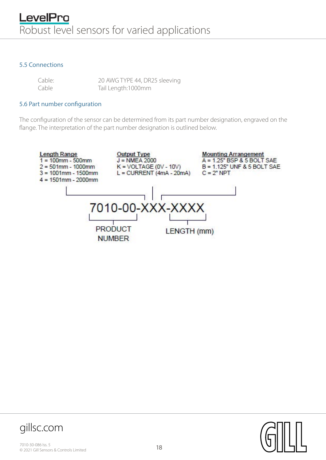#### 5.5 Connections

| Cable: | 20 AWG TYPE 44, DR25 sleeving |
|--------|-------------------------------|
| Cable  | Tail Length:1000mm            |

#### 5.6 Part number configuration

The configuration of the sensor can be determined from its part number designation, engraved on the flange. The interpretation of the part number designation is outlined below.



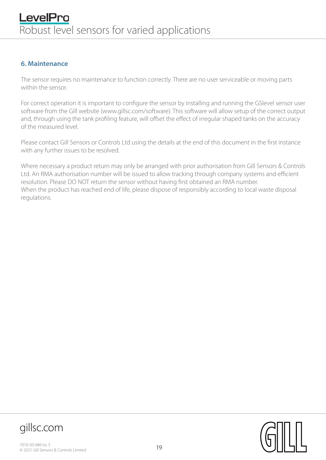#### **6. Maintenance**

The sensor requires no maintenance to function correctly. There are no user serviceable or moving parts within the sensor.

For correct operation it is important to configure the sensor by installing and running the GSlevel sensor user software from the Gill website (www.gillsc.com/software). This software will allow setup of the correct output and, through using the tank profiling feature, will offset the effect of irregular shaped tanks on the accuracy of the measured level.

Please contact Gill Sensors or Controls Ltd using the details at the end of this document in the first instance with any further issues to be resolved.

Where necessary a product return may only be arranged with prior authorisation from Gill Sensors & Controls Ltd. An RMA authorisation number will be issued to allow tracking through company systems and efficient resolution. Please DO NOT return the sensor without having first obtained an RMA number. When the product has reached end of life, please dispose of responsibly according to local waste disposal regulations.



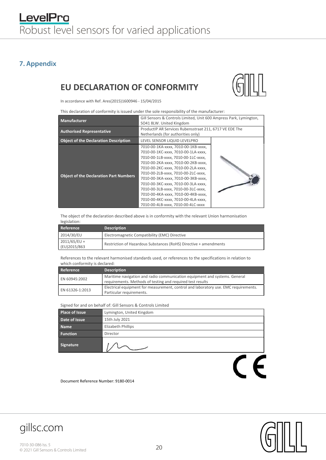#### **7. Appendix**

#### EU DECLARATION OF CONFORMITY



In accordance with Ref. Ares(2015)1600946 - 15/04/2015

This declaration of conformity is issued under the sole responsibility of the manufacturer:

| <b>Manufacturer</b>                           | Gill Sensors & Controls Limited, Unit 600 Ampress Park, Lymington,<br>SO41 8LW. United Kingdom                                                                                                                                                                                                                                                                                                                                                                                  |  |
|-----------------------------------------------|---------------------------------------------------------------------------------------------------------------------------------------------------------------------------------------------------------------------------------------------------------------------------------------------------------------------------------------------------------------------------------------------------------------------------------------------------------------------------------|--|
| <b>Authorised Representative</b>              | ProductIP AR Services Rubensstraat 211, 6717 VE EDE The<br>Netherlands (for authorities only)                                                                                                                                                                                                                                                                                                                                                                                   |  |
| <b>Object of the Declaration Description</b>  | LEVEL SENSOR LIQUID LEVELPRO                                                                                                                                                                                                                                                                                                                                                                                                                                                    |  |
| <b>Object of the Declaration Part Numbers</b> | 7010-00-1KA-xxxx, 7010-00-1KB-xxxx,<br>7010-00-1KC-xxxx, 7010-00-1LA-xxxx,<br>7010-00-1LB-xxxx, 7010-00-1LC-xxxx,<br>7010-00-2KA-xxxx, 7010-00-2KB-xxxx,<br>7010-00-2KC-xxxx, 7010-00-2LA-xxxx,<br>7010-00-2LB-xxxx, 7010-00-2LC-xxxx,<br>7010-00-3KA-xxxx, 7010-00-3KB-xxxx,<br>7010-00-3KC-xxxx, 7010-00-3LA-xxxx,<br>7010-00-3LB-xxxx, 7010-00-3LC-xxxx,<br>7010-00-4KA-xxxx, 7010-00-4KB-xxxx,<br>7010-00-4KC-xxxx, 7010-00-4LA-xxxx,<br>7010-00-4LB-xxxx, 7010-00-4LC-xxxx |  |

The object of the declaration described above is in conformity with the relevant Union harmonisation legislation:

| Reference                      | <b>Description</b>                                                |
|--------------------------------|-------------------------------------------------------------------|
| 2014/30/EU                     | Electromagnetic Compatibility (EMC) Directive                     |
| $2011/65/EU +$<br>(EU)2015/863 | Restriction of Hazardous Substances (RoHS) Directive + amendments |

References to the relevant harmonised standards used, or references to the specifications in relation to which conformity is declared:

| Reference       | <b>Description</b>                                                                                                                       |
|-----------------|------------------------------------------------------------------------------------------------------------------------------------------|
| EN 60945:2002   | Maritime navigation and radio communication equipment and systems. General<br>requirements. Methods of testing and required test results |
| EN 61326-1:2013 | Electrical equipment for measurement, control and laboratory use. EMC requirements.<br>Particular requirements.                          |

Signed for and on behalf of: Gill Sensors & Controls Limited

| <b>Place of Issue</b> | Lymington, United Kingdom |
|-----------------------|---------------------------|
| Date of Issue         | 15th July 2021            |
| <b>Name</b>           | Elizabeth Phillips        |
| <b>Function</b>       | Director                  |
| Signature             |                           |
|                       |                           |

 $\epsilon$ 

Document Reference Number: 9180-0014